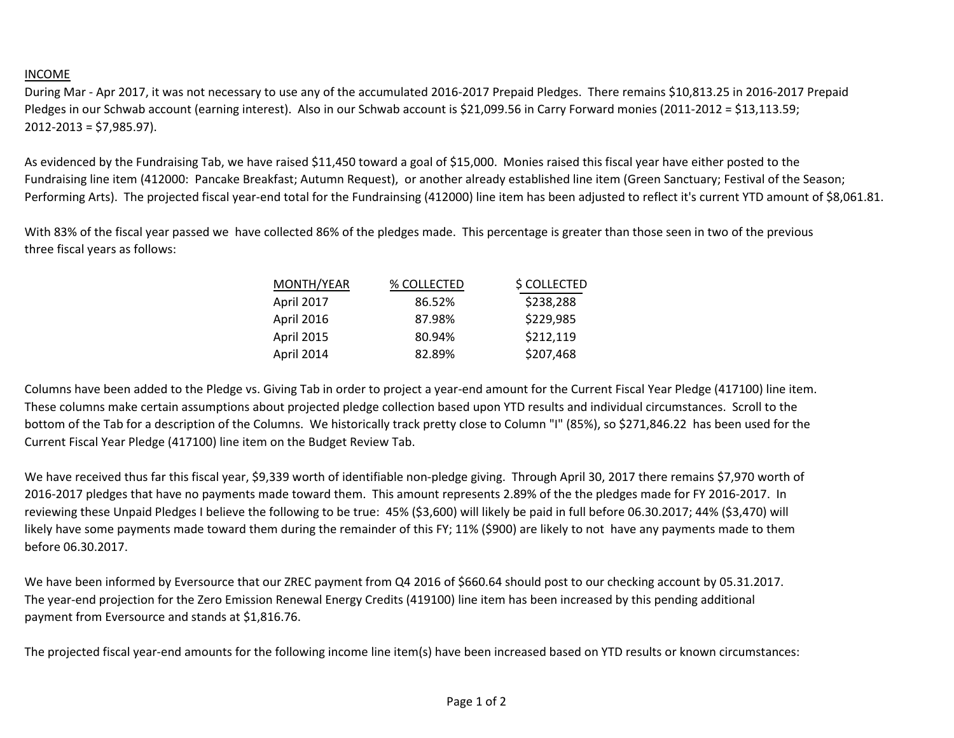## INCOME

During Mar - Apr 2017, it was not necessary to use any of the accumulated 2016-2017 Prepaid Pledges. There remains \$10,813.25 in 2016-2017 Prepaid Pledges in our Schwab account (earning interest). Also in our Schwab account is \$21,099.56 in Carry Forward monies (2011-2012 = \$13,113.59; 2012-2013 = \$7,985.97).

As evidenced by the Fundraising Tab, we have raised \$11,450 toward a goal of \$15,000. Monies raised this fiscal year have either posted to the Fundraising line item (412000: Pancake Breakfast; Autumn Request), or another already established line item (Green Sanctuary; Festival of the Season; Performing Arts). The projected fiscal year-end total for the Fundrainsing (412000) line item has been adjusted to reflect it's current YTD amount of \$8,061.81.

With 83% of the fiscal year passed we have collected 86% of the pledges made. This percentage is greater than those seen in two of the previous three fiscal years as follows:

| MONTH/YEAR        | % COLLECTED | \$ COLLECTED |
|-------------------|-------------|--------------|
| <b>April 2017</b> | 86.52%      | \$238,288    |
| April 2016        | 87.98%      | \$229,985    |
| <b>April 2015</b> | 80.94%      | \$212,119    |
| April 2014        | 82.89%      | \$207,468    |

Columns have been added to the Pledge vs. Giving Tab in order to project a year-end amount for the Current Fiscal Year Pledge (417100) line item. These columns make certain assumptions about projected pledge collection based upon YTD results and individual circumstances. Scroll to the bottom of the Tab for a description of the Columns. We historically track pretty close to Column "I" (85%), so \$271,846.22 has been used for the Current Fiscal Year Pledge (417100) line item on the Budget Review Tab.

We have received thus far this fiscal year, \$9,339 worth of identifiable non-pledge giving. Through April 30, 2017 there remains \$7,970 worth of 2016-2017 pledges that have no payments made toward them. This amount represents 2.89% of the the pledges made for FY 2016-2017. In reviewing these Unpaid Pledges I believe the following to be true: 45% (\$3,600) will likely be paid in full before 06.30.2017; 44% (\$3,470) will likely have some payments made toward them during the remainder of this FY; 11% (\$900) are likely to not have any payments made to them before 06.30.2017.

We have been informed by Eversource that our ZREC payment from Q4 2016 of \$660.64 should post to our checking account by 05.31.2017. The year-end projection for the Zero Emission Renewal Energy Credits (419100) line item has been increased by this pending additional payment from Eversource and stands at \$1,816.76.

The projected fiscal year-end amounts for the following income line item(s) have been increased based on YTD results or known circumstances: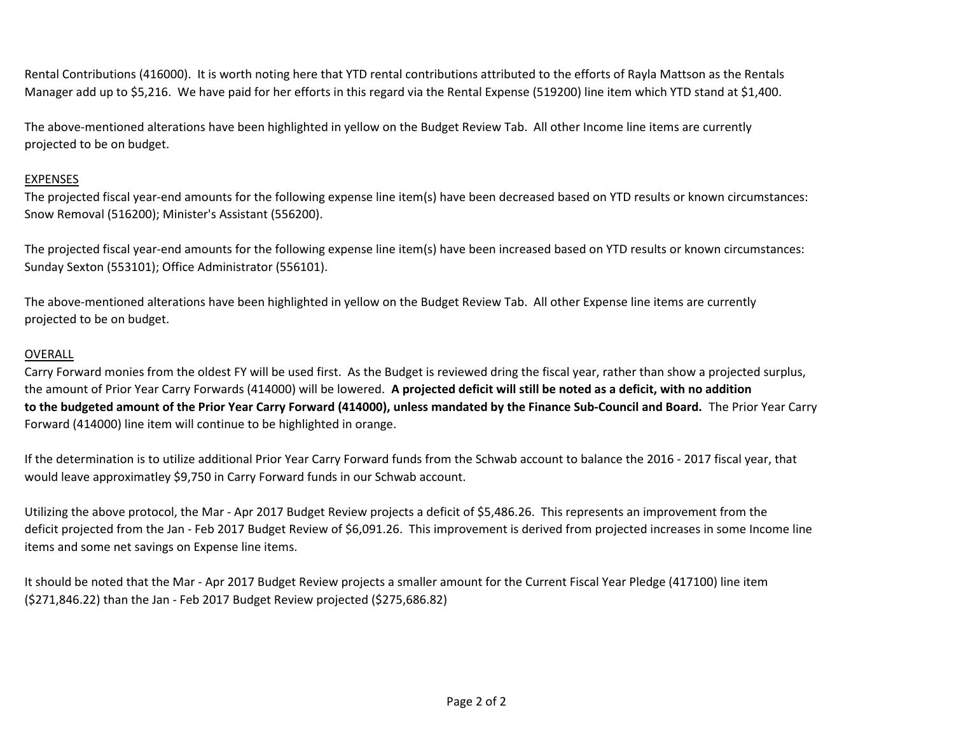Rental Contributions (416000). It is worth noting here that YTD rental contributions attributed to the efforts of Rayla Mattson as the Rentals Manager add up to \$5,216. We have paid for her efforts in this regard via the Rental Expense (519200) line item which YTD stand at \$1,400.

The above-mentioned alterations have been highlighted in yellow on the Budget Review Tab. All other Income line items are currently projected to be on budget.

## EXPENSES

The projected fiscal year-end amounts for the following expense line item(s) have been decreased based on YTD results or known circumstances: Snow Removal (516200); Minister's Assistant (556200).

The projected fiscal year-end amounts for the following expense line item(s) have been increased based on YTD results or known circumstances: Sunday Sexton (553101); Office Administrator (556101).

The above-mentioned alterations have been highlighted in yellow on the Budget Review Tab. All other Expense line items are currently projected to be on budget.

## OVERALL

Carry Forward monies from the oldest FY will be used first. As the Budget is reviewed dring the fiscal year, rather than show a projected surplus, the amount of Prior Year Carry Forwards (414000) will be lowered. **A projected deficit will still be noted as a deficit, with no addition to the budgeted amount of the Prior Year Carry Forward (414000), unless mandated by the Finance Sub-Council and Board.** The Prior Year Carry Forward (414000) line item will continue to be highlighted in orange.

If the determination is to utilize additional Prior Year Carry Forward funds from the Schwab account to balance the 2016 - 2017 fiscal year, that would leave approximatley \$9,750 in Carry Forward funds in our Schwab account.

Utilizing the above protocol, the Mar - Apr 2017 Budget Review projects a deficit of \$5,486.26. This represents an improvement from the deficit projected from the Jan - Feb 2017 Budget Review of \$6,091.26. This improvement is derived from projected increases in some Income line items and some net savings on Expense line items.

It should be noted that the Mar - Apr 2017 Budget Review projects a smaller amount for the Current Fiscal Year Pledge (417100) line item (\$271,846.22) than the Jan - Feb 2017 Budget Review projected (\$275,686.82)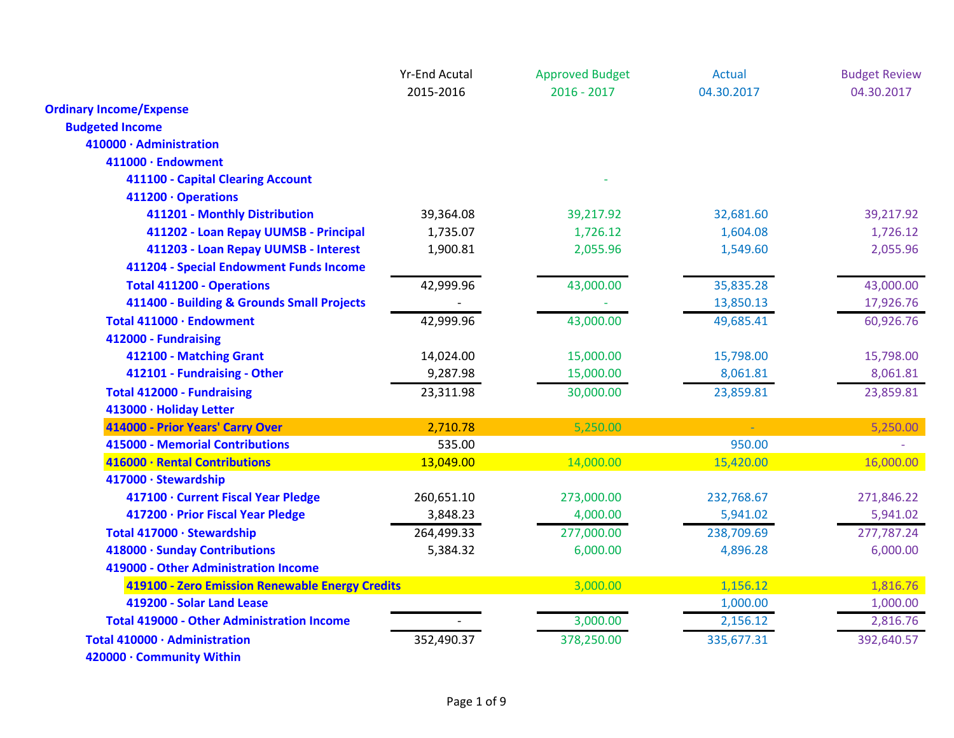|                                                   | <b>Yr-End Acutal</b> | <b>Approved Budget</b> | Actual     | <b>Budget Review</b> |
|---------------------------------------------------|----------------------|------------------------|------------|----------------------|
|                                                   | 2015-2016            | $2016 - 2017$          | 04.30.2017 | 04.30.2017           |
| <b>Ordinary Income/Expense</b>                    |                      |                        |            |                      |
| <b>Budgeted Income</b>                            |                      |                        |            |                      |
| 410000 · Administration                           |                      |                        |            |                      |
| 411000 · Endowment                                |                      |                        |            |                      |
| 411100 - Capital Clearing Account                 |                      |                        |            |                      |
| 411200 · Operations                               |                      |                        |            |                      |
| 411201 - Monthly Distribution                     | 39,364.08            | 39,217.92              | 32,681.60  | 39,217.92            |
| 411202 - Loan Repay UUMSB - Principal             | 1,735.07             | 1,726.12               | 1,604.08   | 1,726.12             |
| 411203 - Loan Repay UUMSB - Interest              | 1,900.81             | 2,055.96               | 1,549.60   | 2,055.96             |
| 411204 - Special Endowment Funds Income           |                      |                        |            |                      |
| <b>Total 411200 - Operations</b>                  | 42,999.96            | 43,000.00              | 35,835.28  | 43,000.00            |
| 411400 - Building & Grounds Small Projects        |                      |                        | 13,850.13  | 17,926.76            |
| Total 411000 · Endowment                          | 42,999.96            | 43,000.00              | 49,685.41  | 60,926.76            |
| 412000 - Fundraising                              |                      |                        |            |                      |
| 412100 - Matching Grant                           | 14,024.00            | 15,000.00              | 15,798.00  | 15,798.00            |
| 412101 - Fundraising - Other                      | 9,287.98             | 15,000.00              | 8,061.81   | 8,061.81             |
| <b>Total 412000 - Fundraising</b>                 | 23,311.98            | 30,000.00              | 23,859.81  | 23,859.81            |
| 413000 · Holiday Letter                           |                      |                        |            |                      |
| 414000 - Prior Years' Carry Over                  | 2,710.78             | 5,250.00               |            | 5,250.00             |
| <b>415000 - Memorial Contributions</b>            | 535.00               |                        | 950.00     |                      |
| 416000 · Rental Contributions                     | 13,049.00            | 14,000.00              | 15,420.00  | 16,000.00            |
| 417000 · Stewardship                              |                      |                        |            |                      |
| 417100 · Current Fiscal Year Pledge               | 260,651.10           | 273,000.00             | 232,768.67 | 271,846.22           |
| 417200 · Prior Fiscal Year Pledge                 | 3,848.23             | 4,000.00               | 5,941.02   | 5,941.02             |
| Total 417000 · Stewardship                        | 264,499.33           | 277,000.00             | 238,709.69 | 277,787.24           |
| 418000 · Sunday Contributions                     | 5,384.32             | 6,000.00               | 4,896.28   | 6,000.00             |
| 419000 - Other Administration Income              |                      |                        |            |                      |
| 419100 - Zero Emission Renewable Energy Credits   |                      | 3,000.00               | 1,156.12   | 1,816.76             |
| 419200 - Solar Land Lease                         |                      |                        | 1,000.00   | 1,000.00             |
| <b>Total 419000 - Other Administration Income</b> |                      | 3,000.00               | 2,156.12   | 2,816.76             |
| Total 410000 · Administration                     | 352,490.37           | 378,250.00             | 335,677.31 | 392,640.57           |
| 420000 · Community Within                         |                      |                        |            |                      |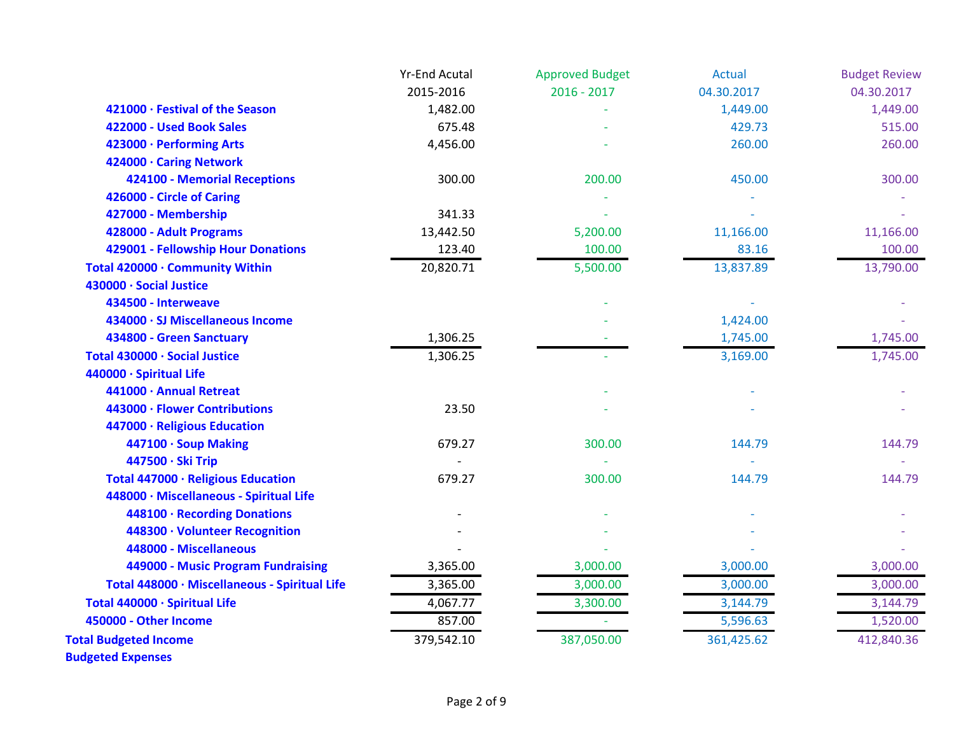|                                               | <b>Yr-End Acutal</b> | <b>Approved Budget</b> | <b>Actual</b> | <b>Budget Review</b> |
|-----------------------------------------------|----------------------|------------------------|---------------|----------------------|
|                                               | 2015-2016            | $2016 - 2017$          | 04.30.2017    | 04.30.2017           |
| 421000 · Festival of the Season               | 1,482.00             |                        | 1,449.00      | 1,449.00             |
| 422000 - Used Book Sales                      | 675.48               |                        | 429.73        | 515.00               |
| 423000 · Performing Arts                      | 4,456.00             |                        | 260.00        | 260.00               |
| 424000 · Caring Network                       |                      |                        |               |                      |
| 424100 - Memorial Receptions                  | 300.00               | 200.00                 | 450.00        | 300.00               |
| 426000 - Circle of Caring                     |                      |                        |               |                      |
| 427000 - Membership                           | 341.33               |                        |               |                      |
| 428000 - Adult Programs                       | 13,442.50            | 5,200.00               | 11,166.00     | 11,166.00            |
| 429001 - Fellowship Hour Donations            | 123.40               | 100.00                 | 83.16         | 100.00               |
| Total 420000 · Community Within               | 20,820.71            | 5,500.00               | 13,837.89     | 13,790.00            |
| 430000 · Social Justice                       |                      |                        |               |                      |
| 434500 - Interweave                           |                      |                        |               |                      |
| 434000 · SJ Miscellaneous Income              |                      |                        | 1,424.00      |                      |
| 434800 - Green Sanctuary                      | 1,306.25             |                        | 1,745.00      | 1,745.00             |
| Total 430000 · Social Justice                 | 1,306.25             |                        | 3,169.00      | 1,745.00             |
| 440000 · Spiritual Life                       |                      |                        |               |                      |
| 441000 · Annual Retreat                       |                      |                        |               |                      |
| 443000 · Flower Contributions                 | 23.50                |                        |               |                      |
| 447000 · Religious Education                  |                      |                        |               |                      |
| 447100 · Soup Making                          | 679.27               | 300.00                 | 144.79        | 144.79               |
| 447500 · Ski Trip                             |                      |                        |               |                      |
| Total 447000 · Religious Education            | 679.27               | 300.00                 | 144.79        | 144.79               |
| 448000 · Miscellaneous - Spiritual Life       |                      |                        |               |                      |
| 448100 · Recording Donations                  |                      |                        |               |                      |
| 448300 · Volunteer Recognition                |                      |                        |               |                      |
| 448000 - Miscellaneous                        |                      |                        |               |                      |
| 449000 - Music Program Fundraising            | 3,365.00             | 3,000.00               | 3,000.00      | 3,000.00             |
| Total 448000 · Miscellaneous - Spiritual Life | 3,365.00             | 3,000.00               | 3,000.00      | 3,000.00             |
| Total 440000 · Spiritual Life                 | 4,067.77             | 3,300.00               | 3,144.79      | 3,144.79             |
| 450000 - Other Income                         | 857.00               |                        | 5,596.63      | 1,520.00             |
| <b>Total Budgeted Income</b>                  | 379,542.10           | 387,050.00             | 361,425.62    | 412,840.36           |
|                                               |                      |                        |               |                      |

**Budgeted Expenses**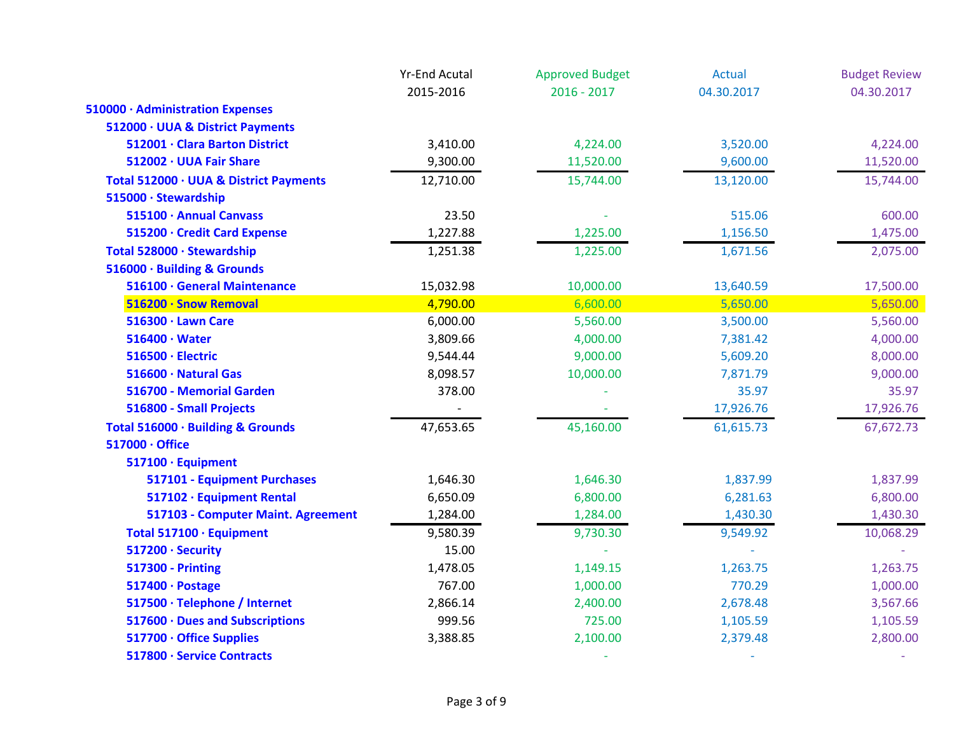|                                        | <b>Yr-End Acutal</b> | <b>Approved Budget</b> | <b>Actual</b> | <b>Budget Review</b> |
|----------------------------------------|----------------------|------------------------|---------------|----------------------|
|                                        | 2015-2016            | $2016 - 2017$          | 04.30.2017    | 04.30.2017           |
| 510000 · Administration Expenses       |                      |                        |               |                      |
| 512000 · UUA & District Payments       |                      |                        |               |                      |
| 512001 · Clara Barton District         | 3,410.00             | 4,224.00               | 3,520.00      | 4,224.00             |
| 512002 · UUA Fair Share                | 9,300.00             | 11,520.00              | 9,600.00      | 11,520.00            |
| Total 512000 · UUA & District Payments | 12,710.00            | 15,744.00              | 13,120.00     | 15,744.00            |
| 515000 · Stewardship                   |                      |                        |               |                      |
| 515100 · Annual Canvass                | 23.50                |                        | 515.06        | 600.00               |
| 515200 · Credit Card Expense           | 1,227.88             | 1,225.00               | 1,156.50      | 1,475.00             |
| Total 528000 · Stewardship             | 1,251.38             | 1,225.00               | 1,671.56      | 2,075.00             |
| 516000 · Building & Grounds            |                      |                        |               |                      |
| 516100 · General Maintenance           | 15,032.98            | 10,000.00              | 13,640.59     | 17,500.00            |
| 516200 · Snow Removal                  | 4,790.00             | 6,600.00               | 5,650.00      | 5,650.00             |
| 516300 · Lawn Care                     | 6,000.00             | 5,560.00               | 3,500.00      | 5,560.00             |
| $516400 \cdot Water$                   | 3,809.66             | 4,000.00               | 7,381.42      | 4,000.00             |
| 516500 · Electric                      | 9,544.44             | 9,000.00               | 5,609.20      | 8,000.00             |
| 516600 · Natural Gas                   | 8,098.57             | 10,000.00              | 7,871.79      | 9,000.00             |
| 516700 - Memorial Garden               | 378.00               |                        | 35.97         | 35.97                |
| 516800 - Small Projects                |                      |                        | 17,926.76     | 17,926.76            |
| Total 516000 · Building & Grounds      | 47,653.65            | 45,160.00              | 61,615.73     | 67,672.73            |
| 517000 · Office                        |                      |                        |               |                      |
| 517100 · Equipment                     |                      |                        |               |                      |
| 517101 - Equipment Purchases           | 1,646.30             | 1,646.30               | 1,837.99      | 1,837.99             |
| 517102 · Equipment Rental              | 6,650.09             | 6,800.00               | 6,281.63      | 6,800.00             |
| 517103 - Computer Maint. Agreement     | 1,284.00             | 1,284.00               | 1,430.30      | 1,430.30             |
| Total 517100 · Equipment               | 9,580.39             | 9,730.30               | 9,549.92      | 10,068.29            |
| 517200 · Security                      | 15.00                |                        |               |                      |
| <b>517300 - Printing</b>               | 1,478.05             | 1,149.15               | 1,263.75      | 1,263.75             |
| 517400 · Postage                       | 767.00               | 1,000.00               | 770.29        | 1,000.00             |
| 517500 · Telephone / Internet          | 2,866.14             | 2,400.00               | 2,678.48      | 3,567.66             |
| 517600 · Dues and Subscriptions        | 999.56               | 725.00                 | 1,105.59      | 1,105.59             |
| 517700 · Office Supplies               | 3,388.85             | 2,100.00               | 2,379.48      | 2,800.00             |
| 517800 · Service Contracts             |                      |                        |               |                      |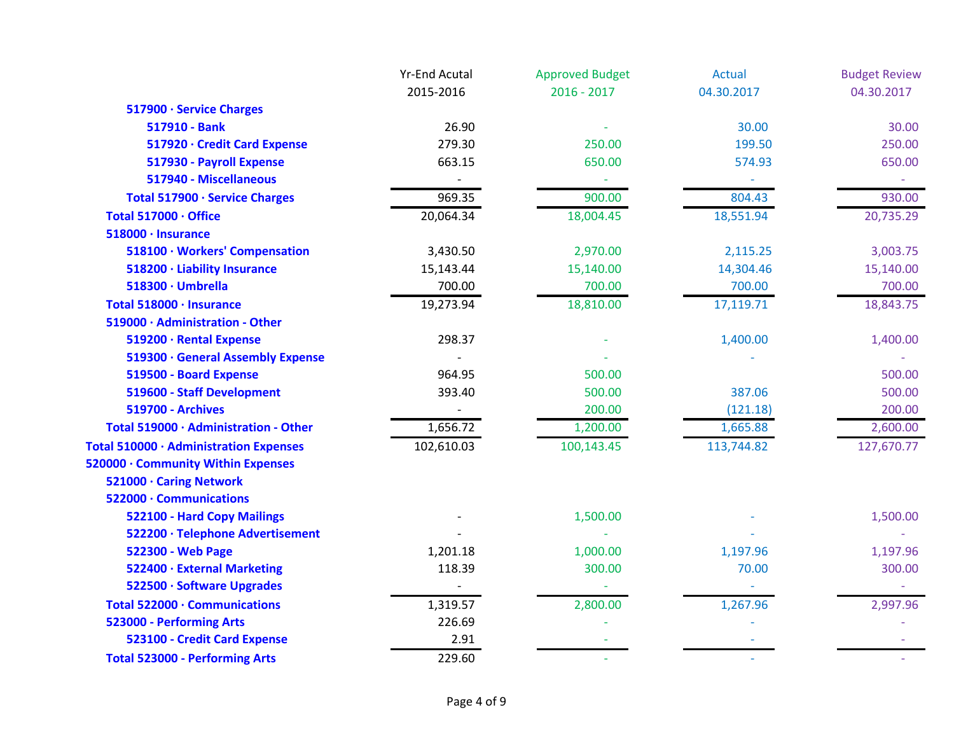|                                        | <b>Yr-End Acutal</b> | <b>Approved Budget</b> | <b>Actual</b> | <b>Budget Review</b> |
|----------------------------------------|----------------------|------------------------|---------------|----------------------|
|                                        | 2015-2016            | $2016 - 2017$          | 04.30.2017    | 04.30.2017           |
| 517900 · Service Charges               |                      |                        |               |                      |
| 517910 - Bank                          | 26.90                |                        | 30.00         | 30.00                |
| 517920 · Credit Card Expense           | 279.30               | 250.00                 | 199.50        | 250.00               |
| 517930 - Payroll Expense               | 663.15               | 650.00                 | 574.93        | 650.00               |
| 517940 - Miscellaneous                 |                      |                        |               |                      |
| Total 517900 · Service Charges         | 969.35               | 900.00                 | 804.43        | 930.00               |
| Total 517000 · Office                  | 20,064.34            | 18,004.45              | 18,551.94     | 20,735.29            |
| 518000 · Insurance                     |                      |                        |               |                      |
| 518100 · Workers' Compensation         | 3,430.50             | 2,970.00               | 2,115.25      | 3,003.75             |
| 518200 · Liability Insurance           | 15,143.44            | 15,140.00              | 14,304.46     | 15,140.00            |
| 518300 · Umbrella                      | 700.00               | 700.00                 | 700.00        | 700.00               |
| Total 518000 · Insurance               | 19,273.94            | 18,810.00              | 17,119.71     | 18,843.75            |
| 519000 · Administration - Other        |                      |                        |               |                      |
| 519200 · Rental Expense                | 298.37               |                        | 1,400.00      | 1,400.00             |
| 519300 · General Assembly Expense      |                      |                        |               |                      |
| 519500 - Board Expense                 | 964.95               | 500.00                 |               | 500.00               |
| 519600 - Staff Development             | 393.40               | 500.00                 | 387.06        | 500.00               |
| <b>519700 - Archives</b>               |                      | 200.00                 | (121.18)      | 200.00               |
| Total 519000 · Administration - Other  | 1,656.72             | 1,200.00               | 1,665.88      | 2,600.00             |
| Total 510000 · Administration Expenses | 102,610.03           | 100,143.45             | 113,744.82    | 127,670.77           |
| 520000 · Community Within Expenses     |                      |                        |               |                      |
| 521000 · Caring Network                |                      |                        |               |                      |
| 522000 · Communications                |                      |                        |               |                      |
| 522100 - Hard Copy Mailings            |                      | 1,500.00               |               | 1,500.00             |
| 522200 · Telephone Advertisement       |                      |                        |               |                      |
| 522300 - Web Page                      | 1,201.18             | 1,000.00               | 1,197.96      | 1,197.96             |
| 522400 · External Marketing            | 118.39               | 300.00                 | 70.00         | 300.00               |
| 522500 · Software Upgrades             |                      |                        |               |                      |
| Total 522000 · Communications          | 1,319.57             | 2,800.00               | 1,267.96      | 2,997.96             |
| 523000 - Performing Arts               | 226.69               |                        |               |                      |
| 523100 - Credit Card Expense           | 2.91                 |                        |               |                      |
| <b>Total 523000 - Performing Arts</b>  | 229.60               |                        |               |                      |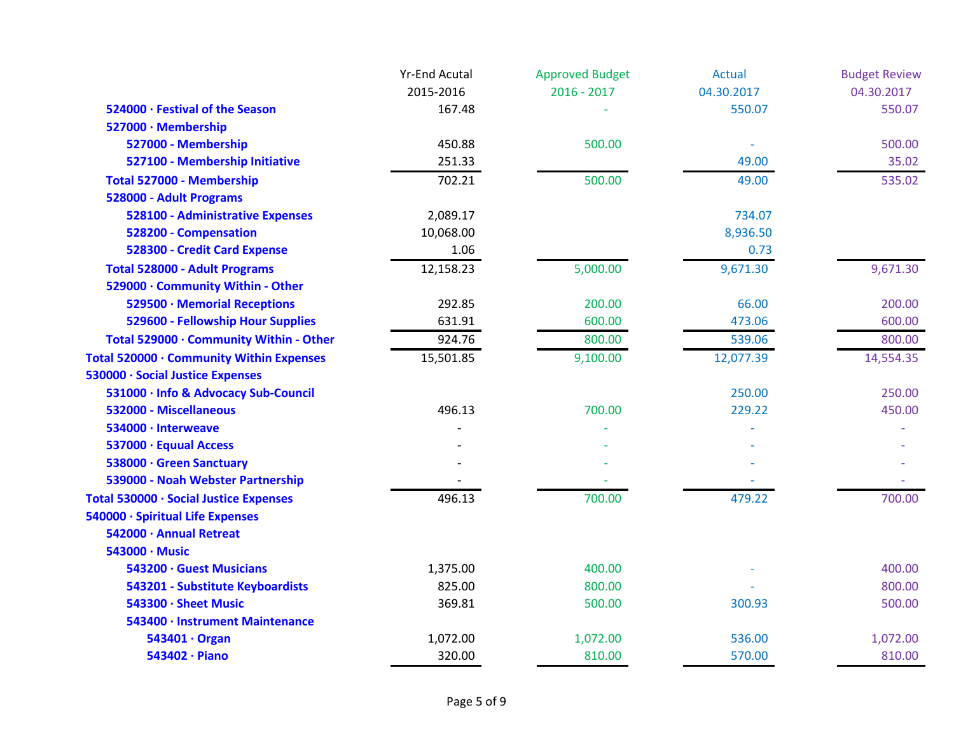|                                          | <b>Yr-End Acutal</b> | <b>Approved Budget</b> | <b>Actual</b> | <b>Budget Review</b> |
|------------------------------------------|----------------------|------------------------|---------------|----------------------|
|                                          | 2015-2016            | $2016 - 2017$          | 04.30.2017    | 04.30.2017           |
| 524000 · Festival of the Season          | 167.48               |                        | 550.07        | 550.07               |
| 527000 · Membership                      |                      |                        |               |                      |
| 527000 - Membership                      | 450.88               | 500.00                 |               | 500.00               |
| 527100 - Membership Initiative           | 251.33               |                        | 49.00         | 35.02                |
| Total 527000 - Membership                | 702.21               | 500.00                 | 49.00         | 535.02               |
| 528000 - Adult Programs                  |                      |                        |               |                      |
| 528100 - Administrative Expenses         | 2,089.17             |                        | 734.07        |                      |
| 528200 - Compensation                    | 10,068.00            |                        | 8,936.50      |                      |
| 528300 - Credit Card Expense             | 1.06                 |                        | 0.73          |                      |
| <b>Total 528000 - Adult Programs</b>     | 12,158.23            | 5,000.00               | 9,671.30      | 9,671.30             |
| 529000 · Community Within - Other        |                      |                        |               |                      |
| 529500 · Memorial Receptions             | 292.85               | 200.00                 | 66.00         | 200.00               |
| 529600 - Fellowship Hour Supplies        | 631.91               | 600.00                 | 473.06        | 600.00               |
| Total 529000 · Community Within - Other  | 924.76               | 800.00                 | 539.06        | 800.00               |
| Total 520000 · Community Within Expenses | 15,501.85            | 9,100.00               | 12,077.39     | 14,554.35            |
| 530000 · Social Justice Expenses         |                      |                        |               |                      |
| 531000 · Info & Advocacy Sub-Council     |                      |                        | 250.00        | 250.00               |
| 532000 - Miscellaneous                   | 496.13               | 700.00                 | 229.22        | 450.00               |
| 534000 · Interweave                      |                      |                        |               |                      |
| 537000 · Equual Access                   |                      |                        |               |                      |
| 538000 · Green Sanctuary                 |                      |                        |               |                      |
| 539000 - Noah Webster Partnership        |                      |                        |               |                      |
| Total 530000 · Social Justice Expenses   | 496.13               | 700.00                 | 479.22        | 700.00               |
| 540000 · Spiritual Life Expenses         |                      |                        |               |                      |
| 542000 · Annual Retreat                  |                      |                        |               |                      |
| 543000 · Music                           |                      |                        |               |                      |
| 543200 · Guest Musicians                 | 1,375.00             | 400.00                 |               | 400.00               |
| 543201 - Substitute Keyboardists         | 825.00               | 800.00                 |               | 800.00               |
| 543300 · Sheet Music                     | 369.81               | 500.00                 | 300.93        | 500.00               |
| 543400 · Instrument Maintenance          |                      |                        |               |                      |
| 543401 · Organ                           | 1,072.00             | 1,072.00               | 536.00        | 1,072.00             |
| 543402 · Piano                           | 320.00               | 810.00                 | 570.00        | 810.00               |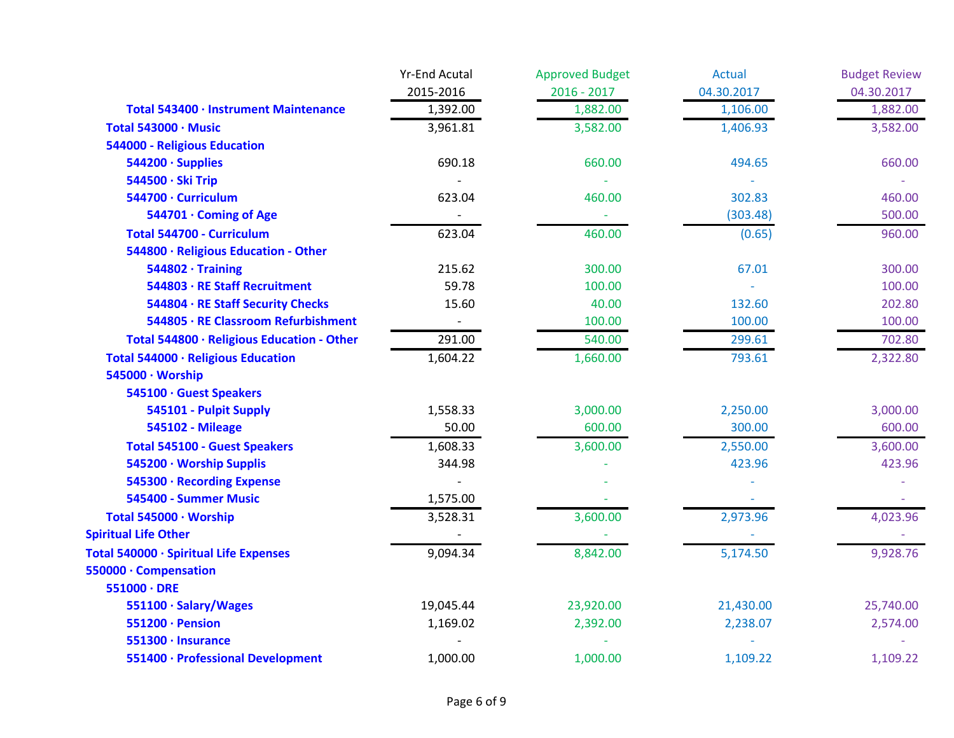|                                            | <b>Yr-End Acutal</b> | <b>Approved Budget</b> | <b>Actual</b> | <b>Budget Review</b> |
|--------------------------------------------|----------------------|------------------------|---------------|----------------------|
|                                            | 2015-2016            | $2016 - 2017$          | 04.30.2017    | 04.30.2017           |
| Total 543400 · Instrument Maintenance      | 1,392.00             | 1,882.00               | 1,106.00      | 1,882.00             |
| Total 543000 · Music                       | 3,961.81             | 3,582.00               | 1,406.93      | 3,582.00             |
| <b>544000 - Religious Education</b>        |                      |                        |               |                      |
| 544200 · Supplies                          | 690.18               | 660.00                 | 494.65        | 660.00               |
| 544500 · Ski Trip                          |                      |                        |               |                      |
| 544700 · Curriculum                        | 623.04               | 460.00                 | 302.83        | 460.00               |
| 544701 · Coming of Age                     |                      |                        | (303.48)      | 500.00               |
| Total 544700 - Curriculum                  | 623.04               | 460.00                 | (0.65)        | 960.00               |
| 544800 · Religious Education - Other       |                      |                        |               |                      |
| $544802 \cdot$ Training                    | 215.62               | 300.00                 | 67.01         | 300.00               |
| 544803 · RE Staff Recruitment              | 59.78                | 100.00                 |               | 100.00               |
| 544804 · RE Staff Security Checks          | 15.60                | 40.00                  | 132.60        | 202.80               |
| 544805 · RE Classroom Refurbishment        |                      | 100.00                 | 100.00        | 100.00               |
| Total 544800 · Religious Education - Other | 291.00               | 540.00                 | 299.61        | 702.80               |
| Total 544000 · Religious Education         | 1,604.22             | 1,660.00               | 793.61        | 2,322.80             |
| 545000 · Worship                           |                      |                        |               |                      |
| 545100 · Guest Speakers                    |                      |                        |               |                      |
| 545101 - Pulpit Supply                     | 1,558.33             | 3,000.00               | 2,250.00      | 3,000.00             |
| <b>545102 - Mileage</b>                    | 50.00                | 600.00                 | 300.00        | 600.00               |
| <b>Total 545100 - Guest Speakers</b>       | 1,608.33             | 3,600.00               | 2,550.00      | 3,600.00             |
| 545200 · Worship Supplis                   | 344.98               |                        | 423.96        | 423.96               |
| 545300 · Recording Expense                 |                      |                        |               |                      |
| 545400 - Summer Music                      | 1,575.00             |                        |               |                      |
| Total 545000 · Worship                     | 3,528.31             | 3,600.00               | 2,973.96      | 4,023.96             |
| <b>Spiritual Life Other</b>                |                      |                        |               |                      |
| Total 540000 · Spiritual Life Expenses     | 9,094.34             | 8,842.00               | 5,174.50      | 9,928.76             |
| 550000 · Compensation                      |                      |                        |               |                      |
| $551000 \cdot DRE$                         |                      |                        |               |                      |
| 551100 · Salary/Wages                      | 19,045.44            | 23,920.00              | 21,430.00     | 25,740.00            |
| 551200 · Pension                           | 1,169.02             | 2,392.00               | 2,238.07      | 2,574.00             |
| 551300 · Insurance                         |                      |                        |               |                      |
| 551400 · Professional Development          | 1,000.00             | 1,000.00               | 1,109.22      | 1,109.22             |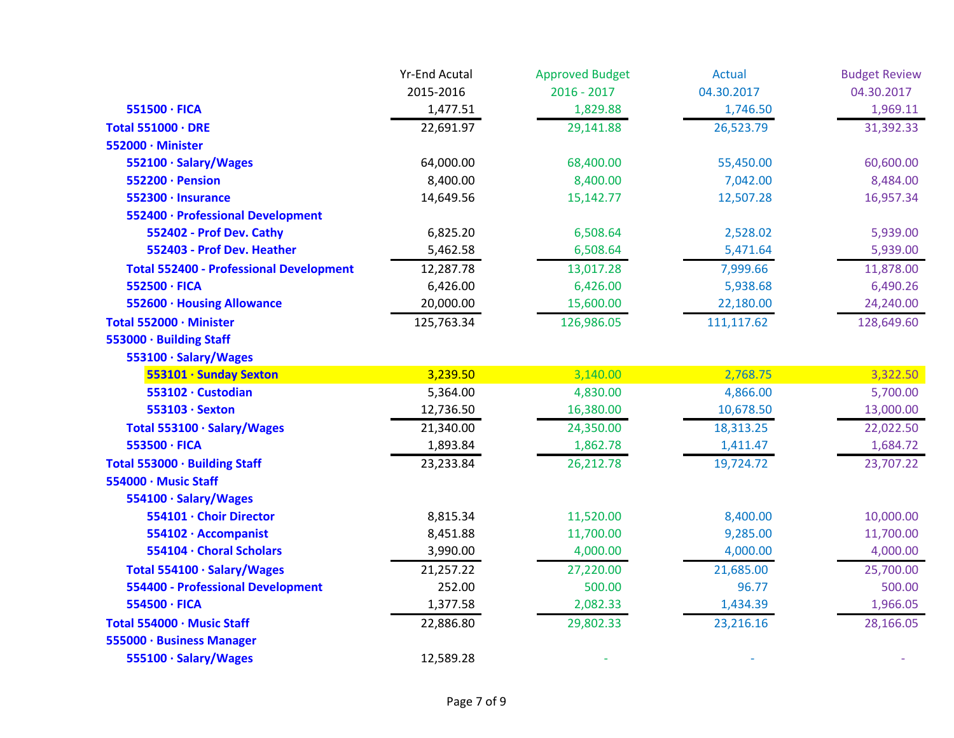|                                                | <b>Yr-End Acutal</b> | <b>Approved Budget</b> | <b>Actual</b> | <b>Budget Review</b> |
|------------------------------------------------|----------------------|------------------------|---------------|----------------------|
|                                                | 2015-2016            | $2016 - 2017$          | 04.30.2017    | 04.30.2017           |
| 551500 · FICA                                  | 1,477.51             | 1,829.88               | 1,746.50      | 1,969.11             |
| <b>Total 551000 · DRE</b>                      | 22,691.97            | 29,141.88              | 26,523.79     | 31,392.33            |
| 552000 · Minister                              |                      |                        |               |                      |
| 552100 · Salary/Wages                          | 64,000.00            | 68,400.00              | 55,450.00     | 60,600.00            |
| 552200 · Pension                               | 8,400.00             | 8,400.00               | 7,042.00      | 8,484.00             |
| 552300 · Insurance                             | 14,649.56            | 15,142.77              | 12,507.28     | 16,957.34            |
| 552400 · Professional Development              |                      |                        |               |                      |
| 552402 - Prof Dev. Cathy                       | 6,825.20             | 6,508.64               | 2,528.02      | 5,939.00             |
| 552403 - Prof Dev. Heather                     | 5,462.58             | 6,508.64               | 5,471.64      | 5,939.00             |
| <b>Total 552400 - Professional Development</b> | 12,287.78            | 13,017.28              | 7,999.66      | 11,878.00            |
| 552500 · FICA                                  | 6,426.00             | 6,426.00               | 5,938.68      | 6,490.26             |
| 552600 · Housing Allowance                     | 20,000.00            | 15,600.00              | 22,180.00     | 24,240.00            |
| Total 552000 · Minister                        | 125,763.34           | 126,986.05             | 111,117.62    | 128,649.60           |
| 553000 · Building Staff                        |                      |                        |               |                      |
| 553100 · Salary/Wages                          |                      |                        |               |                      |
| 553101 · Sunday Sexton                         | 3,239.50             | 3,140.00               | 2,768.75      | 3,322.50             |
| 553102 · Custodian                             | 5,364.00             | 4,830.00               | 4,866.00      | 5,700.00             |
| 553103 · Sexton                                | 12,736.50            | 16,380.00              | 10,678.50     | 13,000.00            |
| Total 553100 · Salary/Wages                    | 21,340.00            | 24,350.00              | 18,313.25     | 22,022.50            |
| 553500 · FICA                                  | 1,893.84             | 1,862.78               | 1,411.47      | 1,684.72             |
| Total 553000 · Building Staff                  | 23,233.84            | 26,212.78              | 19,724.72     | 23,707.22            |
| 554000 · Music Staff                           |                      |                        |               |                      |
| 554100 · Salary/Wages                          |                      |                        |               |                      |
| 554101 · Choir Director                        | 8,815.34             | 11,520.00              | 8,400.00      | 10,000.00            |
| 554102 · Accompanist                           | 8,451.88             | 11,700.00              | 9,285.00      | 11,700.00            |
| 554104 · Choral Scholars                       | 3,990.00             | 4,000.00               | 4,000.00      | 4,000.00             |
| Total 554100 · Salary/Wages                    | 21,257.22            | 27,220.00              | 21,685.00     | 25,700.00            |
| <b>554400 - Professional Development</b>       | 252.00               | 500.00                 | 96.77         | 500.00               |
| 554500 · FICA                                  | 1,377.58             | 2,082.33               | 1,434.39      | 1,966.05             |
| Total 554000 · Music Staff                     | 22,886.80            | 29,802.33              | 23,216.16     | 28,166.05            |
| 555000 · Business Manager                      |                      |                        |               |                      |
| 555100 · Salary/Wages                          | 12,589.28            |                        |               |                      |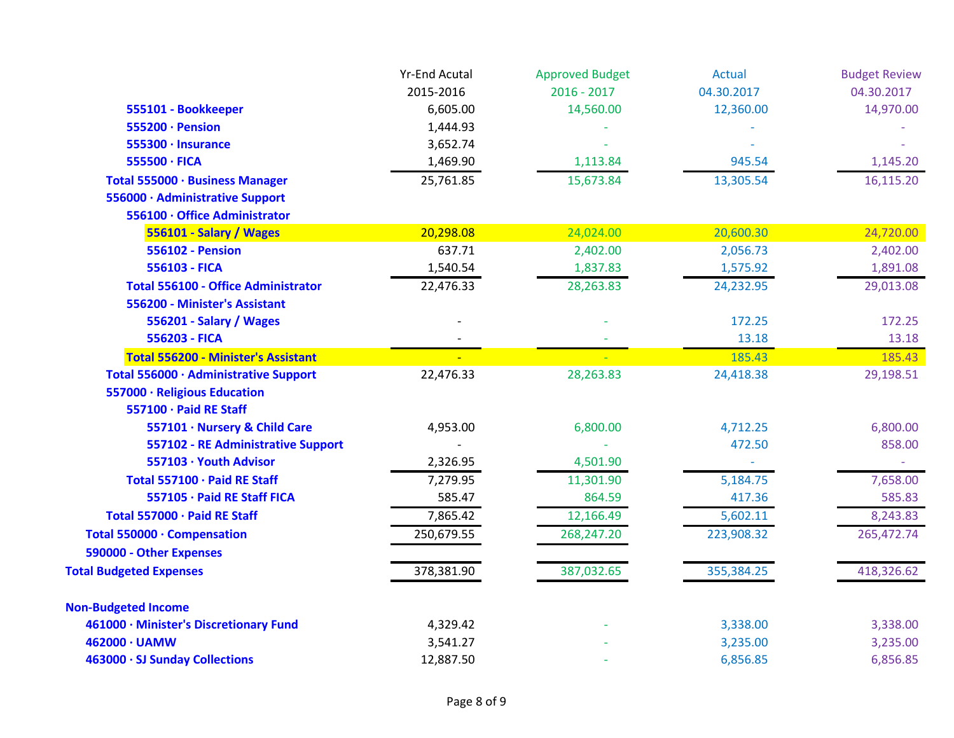|                                            | <b>Yr-End Acutal</b> | <b>Approved Budget</b> | <b>Actual</b> | <b>Budget Review</b> |
|--------------------------------------------|----------------------|------------------------|---------------|----------------------|
|                                            | 2015-2016            | $2016 - 2017$          | 04.30.2017    | 04.30.2017           |
| 555101 - Bookkeeper                        | 6,605.00             | 14,560.00              | 12,360.00     | 14,970.00            |
| 555200 · Pension                           | 1,444.93             |                        |               |                      |
| 555300 · Insurance                         | 3,652.74             |                        |               |                      |
| 555500 · FICA                              | 1,469.90             | 1,113.84               | 945.54        | 1,145.20             |
| Total 555000 · Business Manager            | 25,761.85            | 15,673.84              | 13,305.54     | 16,115.20            |
| 556000 · Administrative Support            |                      |                        |               |                      |
| 556100 · Office Administrator              |                      |                        |               |                      |
| 556101 - Salary / Wages                    | 20,298.08            | 24,024.00              | 20,600.30     | 24,720.00            |
| <b>556102 - Pension</b>                    | 637.71               | 2,402.00               | 2,056.73      | 2,402.00             |
| 556103 - FICA                              | 1,540.54             | 1,837.83               | 1,575.92      | 1,891.08             |
| <b>Total 556100 - Office Administrator</b> | 22,476.33            | 28,263.83              | 24,232.95     | 29,013.08            |
| 556200 - Minister's Assistant              |                      |                        |               |                      |
| 556201 - Salary / Wages                    |                      |                        | 172.25        | 172.25               |
| 556203 - FICA                              |                      |                        | 13.18         | 13.18                |
| <b>Total 556200 - Minister's Assistant</b> |                      |                        | 185.43        | 185.43               |
| Total 556000 · Administrative Support      | 22,476.33            | 28,263.83              | 24,418.38     | 29,198.51            |
| 557000 · Religious Education               |                      |                        |               |                      |
| 557100 · Paid RE Staff                     |                      |                        |               |                      |
| 557101 · Nursery & Child Care              | 4,953.00             | 6,800.00               | 4,712.25      | 6,800.00             |
| 557102 - RE Administrative Support         |                      |                        | 472.50        | 858.00               |
| 557103 · Youth Advisor                     | 2,326.95             | 4,501.90               |               |                      |
| Total 557100 · Paid RE Staff               | 7,279.95             | 11,301.90              | 5,184.75      | 7,658.00             |
| 557105 · Paid RE Staff FICA                | 585.47               | 864.59                 | 417.36        | 585.83               |
| Total 557000 · Paid RE Staff               | 7,865.42             | 12,166.49              | 5,602.11      | 8,243.83             |
| Total 550000 · Compensation                | 250,679.55           | 268,247.20             | 223,908.32    | 265,472.74           |
| 590000 - Other Expenses                    |                      |                        |               |                      |
| <b>Total Budgeted Expenses</b>             | 378,381.90           | 387,032.65             | 355,384.25    | 418,326.62           |
| <b>Non-Budgeted Income</b>                 |                      |                        |               |                      |
| 461000 · Minister's Discretionary Fund     | 4,329.42             |                        | 3,338.00      | 3,338.00             |
| 462000 · UAMW                              | 3,541.27             |                        | 3,235.00      | 3,235.00             |
| 463000 · SJ Sunday Collections             | 12,887.50            |                        | 6,856.85      | 6,856.85             |